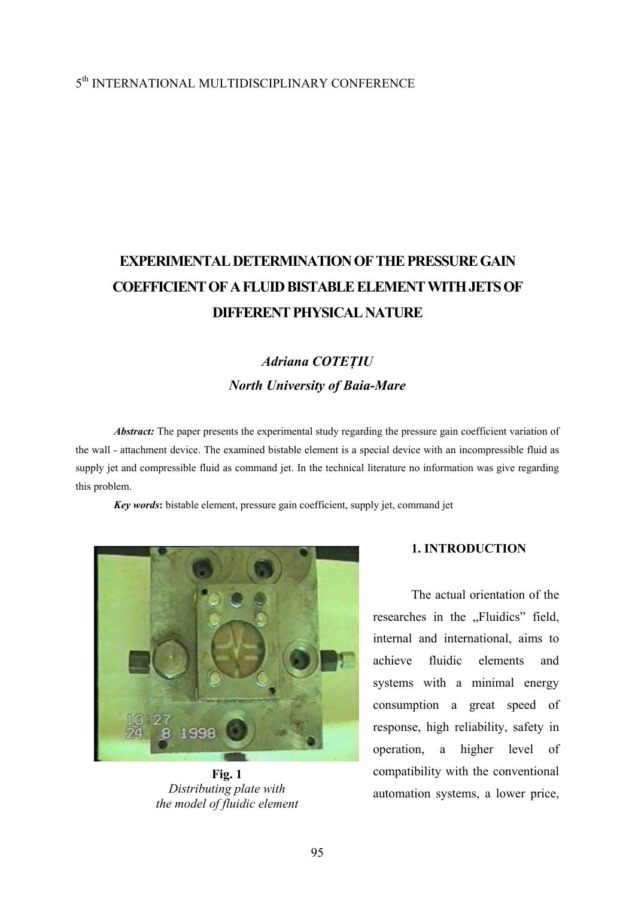## 5th INTERNATIONAL MULTIDISCIPLINARY CONFERENCE

# **EXPERIMENTAL DETERMINATION OF THE PRESSURE GAIN COEFFICIENT OF A FLUID BISTABLE ELEMENT WITH JETS OF DIFFERENT PHYSICAL NATURE**

## *Adriana COTEŢIU North University of Baia-Mare*

*Abstract:* The paper presents the experimental study regarding the pressure gain coefficient variation of the wall - attachment device. The examined bistable element is a special device with an incompressible fluid as supply jet and compressible fluid as command jet. In the technical literature no information was give regarding this problem.

*Key words***:** bistable element, pressure gain coefficient, supply jet, command jet



**Fig. 1** *Distributing plate with the model of fluidic element* 

### **1. INTRODUCTION**

The actual orientation of the researches in the "Fluidics" field, internal and international, aims to achieve fluidic elements and systems with a minimal energy consumption a great speed of response, high reliability, safety in operation, a higher level of compatibility with the conventional automation systems, a lower price,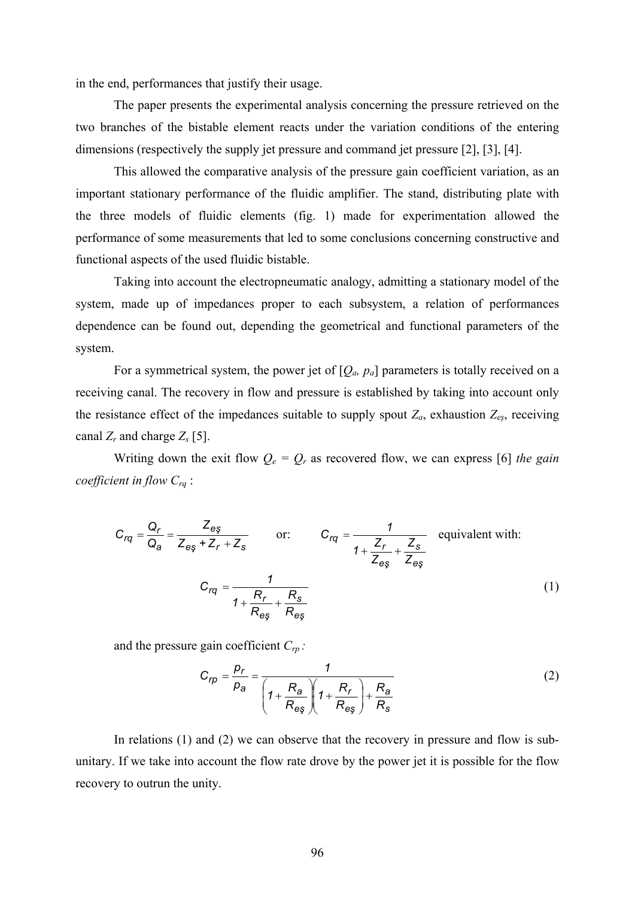in the end, performances that justify their usage.

The paper presents the experimental analysis concerning the pressure retrieved on the two branches of the bistable element reacts under the variation conditions of the entering dimensions (respectively the supply jet pressure and command jet pressure [2], [3], [4].

This allowed the comparative analysis of the pressure gain coefficient variation, as an important stationary performance of the fluidic amplifier. The stand, distributing plate with the three models of fluidic elements (fig. 1) made for experimentation allowed the performance of some measurements that led to some conclusions concerning constructive and functional aspects of the used fluidic bistable.

Taking into account the electropneumatic analogy, admitting a stationary model of the system, made up of impedances proper to each subsystem, a relation of performances dependence can be found out, depending the geometrical and functional parameters of the system.

For a symmetrical system, the power jet of  $[Q_a, p_a]$  parameters is totally received on a receiving canal. The recovery in flow and pressure is established by taking into account only the resistance effect of the impedances suitable to supply spout  $Z_a$ , exhaustion  $Z_{es}$ , receiving canal  $Z_r$  and charge  $Z_s$  [5].

Writing down the exit flow  $Q_e = Q_r$  as recovered flow, we can express [6] *the gain coefficient in flow Crq* :

$$
C_{rq} = \frac{Q_r}{Q_a} = \frac{Z_{eg}}{Z_{eg} + Z_r + Z_s} \qquad \text{or:} \qquad C_{rq} = \frac{1}{1 + \frac{Z_r}{Z_{eg}} + \frac{Z_s}{Z_{eg}}}
$$
 equivalent with:  

$$
C_{rq} = \frac{1}{1 + \frac{R_r}{R_{eg}} + \frac{R_s}{R_{eg}}}
$$
(1)

and the pressure gain coefficient *Crp :* 

$$
C_{rp} = \frac{p_r}{p_a} = \frac{1}{\left(1 + \frac{R_a}{R_{eg}}\right)\left(1 + \frac{R_r}{R_{eg}}\right) + \frac{R_a}{R_s}}
$$
(2)

In relations (1) and (2) we can observe that the recovery in pressure and flow is subunitary. If we take into account the flow rate drove by the power jet it is possible for the flow recovery to outrun the unity.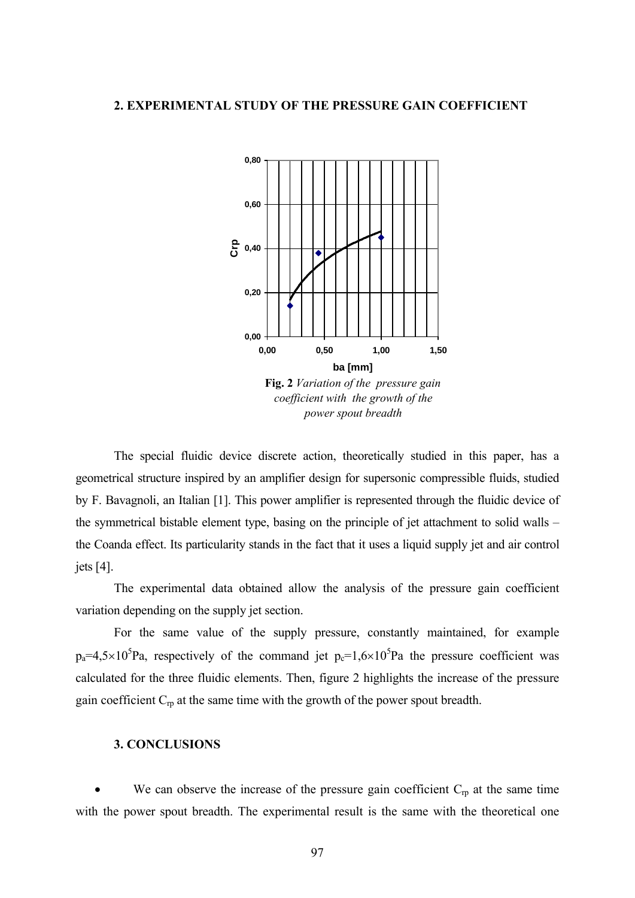#### **2. EXPERIMENTAL STUDY OF THE PRESSURE GAIN COEFFICIENT**



The special fluidic device discrete action, theoretically studied in this paper, has a geometrical structure inspired by an amplifier design for supersonic compressible fluids, studied by F. Bavagnoli, an Italian [1]. This power amplifier is represented through the fluidic device of the symmetrical bistable element type, basing on the principle of jet attachment to solid walls – the Coanda effect. Its particularity stands in the fact that it uses a liquid supply jet and air control jets [4].

The experimental data obtained allow the analysis of the pressure gain coefficient variation depending on the supply jet section.

For the same value of the supply pressure, constantly maintained, for example  $p_a=4.5\times10^5$ Pa, respectively of the command jet  $p_c=1.6\times10^5$ Pa the pressure coefficient was calculated for the three fluidic elements. Then, figure 2 highlights the increase of the pressure gain coefficient  $C_{rp}$  at the same time with the growth of the power spout breadth.

### **3. CONCLUSIONS**

We can observe the increase of the pressure gain coefficient  $C_{rp}$  at the same time with the power spout breadth. The experimental result is the same with the theoretical one